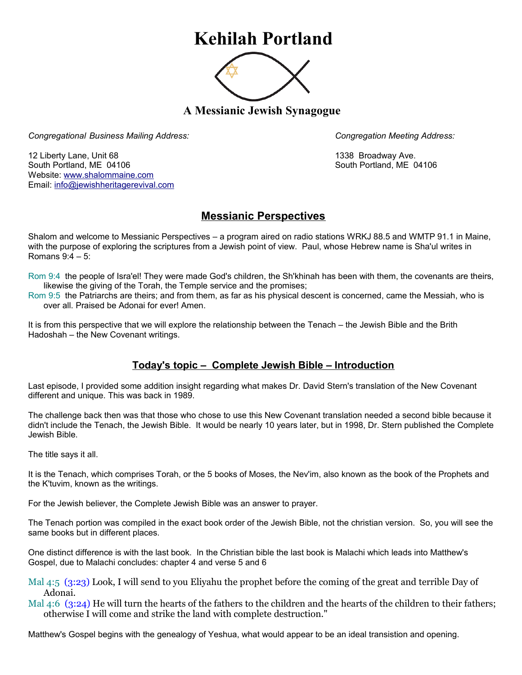## **Kehilah Portland**



**A Messianic Jewish Synagogue** 

*Congregational Business Mailing Address: Congregation Meeting Address:*

12 Liberty Lane, Unit 68 1338 Broadway Ave. South Portland, ME 04106 South Portland, ME 04106 Website: [www.shalommaine.com](http://www.shalommaine.com/) Email: [info@jewishheritagerevival.com](mailto:info@jewishheritagerevival.com) 

## **Messianic Perspectives**

Shalom and welcome to Messianic Perspectives – a program aired on radio stations WRKJ 88.5 and WMTP 91.1 in Maine, with the purpose of exploring the scriptures from a Jewish point of view. Paul, whose Hebrew name is Sha'ul writes in Romans 9:4 – 5:

Rom 9:4 the people of Isra'el! They were made God's children, the Sh'khinah has been with them, the covenants are theirs, likewise the giving of the Torah, the Temple service and the promises;

Rom 9:5 the Patriarchs are theirs; and from them, as far as his physical descent is concerned, came the Messiah, who is over all. Praised be Adonai for ever! Amen.

It is from this perspective that we will explore the relationship between the Tenach – the Jewish Bible and the Brith Hadoshah – the New Covenant writings.

## **Today's topic – Complete Jewish Bible – Introduction**

Last episode, I provided some addition insight regarding what makes Dr. David Stern's translation of the New Covenant different and unique. This was back in 1989.

The challenge back then was that those who chose to use this New Covenant translation needed a second bible because it didn't include the Tenach, the Jewish Bible. It would be nearly 10 years later, but in 1998, Dr. Stern published the Complete Jewish Bible.

The title says it all.

It is the Tenach, which comprises Torah, or the 5 books of Moses, the Nev'im, also known as the book of the Prophets and the K'tuvim, known as the writings.

For the Jewish believer, the Complete Jewish Bible was an answer to prayer.

The Tenach portion was compiled in the exact book order of the Jewish Bible, not the christian version. So, you will see the same books but in different places.

One distinct difference is with the last book. In the Christian bible the last book is Malachi which leads into Matthew's Gospel, due to Malachi concludes: chapter 4 and verse 5 and 6

Mal 4:5 (3:23) Look, I will send to you Eliyahu the prophet before the coming of the great and terrible Day of Adonai.

Mal 4:6 (3:24) He will turn the hearts of the fathers to the children and the hearts of the children to their fathers; otherwise I will come and strike the land with complete destruction."

Matthew's Gospel begins with the genealogy of Yeshua, what would appear to be an ideal transistion and opening.